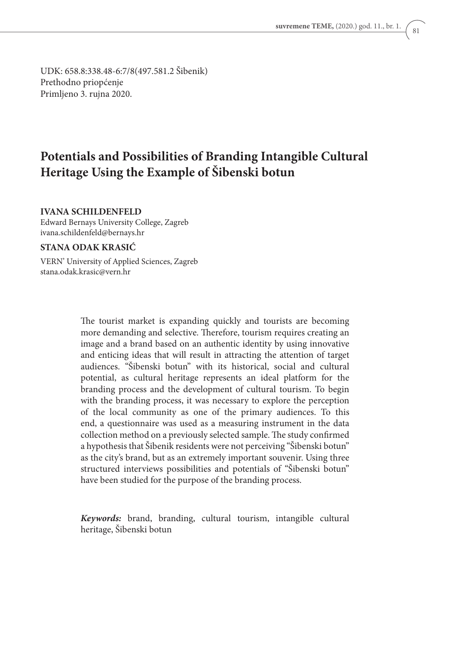UDK: 658.8:338.48-6:7/8(497.581.2 Šibenik) Prethodno priopćenje Primljeno 3. rujna 2020.

# **Potentials and Possibilities of Branding Intangible Cultural Heritage Using the Example of Šibenski botun**

#### **IVANA SCHILDENFELD**

Edward Bernays University College, Zagreb ivana.schildenfeld@bernays.hr

#### **STANA ODAK KRASIĆ**

VERN' University of Applied Sciences, Zagreb stana.odak.krasic@vern.hr

> The tourist market is expanding quickly and tourists are becoming more demanding and selective. Therefore, tourism requires creating an image and a brand based on an authentic identity by using innovative and enticing ideas that will result in attracting the attention of target audiences. "Šibenski botun" with its historical, social and cultural potential, as cultural heritage represents an ideal platform for the branding process and the development of cultural tourism. To begin with the branding process, it was necessary to explore the perception of the local community as one of the primary audiences. To this end, a questionnaire was used as a measuring instrument in the data collection method on a previously selected sample. The study confirmed a hypothesis that Šibenik residents were not perceiving "Šibenski botun" as the city's brand, but as an extremely important souvenir. Using three structured interviews possibilities and potentials of "Šibenski botun" have been studied for the purpose of the branding process.

> *Keywords:* brand, branding, cultural tourism, intangible cultural heritage, Šibenski botun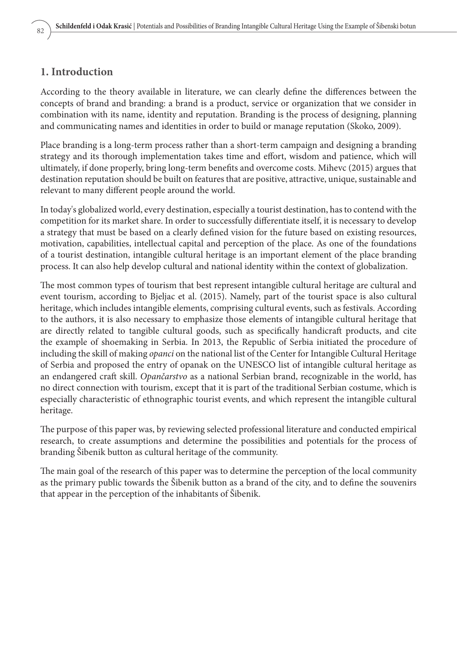### **1. Introduction**

According to the theory available in literature, we can clearly define the differences between the concepts of brand and branding: a brand is a product, service or organization that we consider in combination with its name, identity and reputation. Branding is the process of designing, planning and communicating names and identities in order to build or manage reputation (Skoko, 2009).

Place branding is a long-term process rather than a short-term campaign and designing a branding strategy and its thorough implementation takes time and effort, wisdom and patience, which will ultimately, if done properly, bring long-term benefits and overcome costs. Mihevc (2015) argues that destination reputation should be built on features that are positive, attractive, unique, sustainable and relevant to many different people around the world.

In today's globalized world, every destination, especially a tourist destination, has to contend with the competition for its market share. In order to successfully differentiate itself, it is necessary to develop a strategy that must be based on a clearly defined vision for the future based on existing resources, motivation, capabilities, intellectual capital and perception of the place. As one of the foundations of a tourist destination, intangible cultural heritage is an important element of the place branding process. It can also help develop cultural and national identity within the context of globalization.

The most common types of tourism that best represent intangible cultural heritage are cultural and event tourism, according to Bjeljac et al. (2015). Namely, part of the tourist space is also cultural heritage, which includes intangible elements, comprising cultural events, such as festivals. According to the authors, it is also necessary to emphasize those elements of intangible cultural heritage that are directly related to tangible cultural goods, such as specifically handicraft products, and cite the example of shoemaking in Serbia. In 2013, the Republic of Serbia initiated the procedure of including the skill of making *opanci* on the national list of the Center for Intangible Cultural Heritage of Serbia and proposed the entry of opanak on the UNESCO list of intangible cultural heritage as an endangered craft skill. *Opančarstvo* as a national Serbian brand, recognizable in the world, has no direct connection with tourism, except that it is part of the traditional Serbian costume, which is especially characteristic of ethnographic tourist events, and which represent the intangible cultural heritage.

The purpose of this paper was, by reviewing selected professional literature and conducted empirical research, to create assumptions and determine the possibilities and potentials for the process of branding Šibenik button as cultural heritage of the community.

The main goal of the research of this paper was to determine the perception of the local community as the primary public towards the Šibenik button as a brand of the city, and to define the souvenirs that appear in the perception of the inhabitants of Šibenik.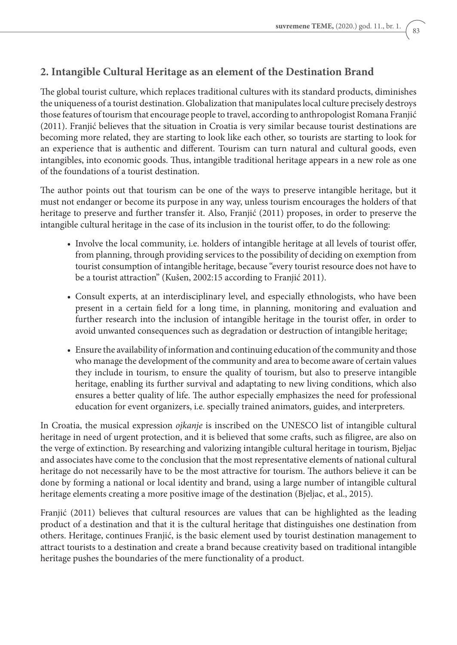## **2. Intangible Cultural Heritage as an element of the Destination Brand**

The global tourist culture, which replaces traditional cultures with its standard products, diminishes the uniqueness of a tourist destination. Globalization that manipulates local culture precisely destroys those features of tourism that encourage people to travel, according to anthropologist Romana Franjić (2011). Franjić believes that the situation in Croatia is very similar because tourist destinations are becoming more related, they are starting to look like each other, so tourists are starting to look for an experience that is authentic and different. Tourism can turn natural and cultural goods, even intangibles, into economic goods. Thus, intangible traditional heritage appears in a new role as one of the foundations of a tourist destination.

The author points out that tourism can be one of the ways to preserve intangible heritage, but it must not endanger or become its purpose in any way, unless tourism encourages the holders of that heritage to preserve and further transfer it. Also, Franjić (2011) proposes, in order to preserve the intangible cultural heritage in the case of its inclusion in the tourist offer, to do the following:

- Involve the local community, i.e. holders of intangible heritage at all levels of tourist offer, from planning, through providing services to the possibility of deciding on exemption from tourist consumption of intangible heritage, because "every tourist resource does not have to be a tourist attraction" (Kušen, 2002:15 according to Franjić 2011).
- Consult experts, at an interdisciplinary level, and especially ethnologists, who have been present in a certain field for a long time, in planning, monitoring and evaluation and further research into the inclusion of intangible heritage in the tourist offer, in order to avoid unwanted consequences such as degradation or destruction of intangible heritage;
- Ensure the availability of information and continuing education of the community and those who manage the development of the community and area to become aware of certain values they include in tourism, to ensure the quality of tourism, but also to preserve intangible heritage, enabling its further survival and adaptating to new living conditions, which also ensures a better quality of life. The author especially emphasizes the need for professional education for event organizers, i.e. specially trained animators, guides, and interpreters.

In Croatia, the musical expression *ojkanje* is inscribed on the UNESCO list of intangible cultural heritage in need of urgent protection, and it is believed that some crafts, such as filigree, are also on the verge of extinction. By researching and valorizing intangible cultural heritage in tourism, Bjeljac and associates have come to the conclusion that the most representative elements of national cultural heritage do not necessarily have to be the most attractive for tourism. The authors believe it can be done by forming a national or local identity and brand, using a large number of intangible cultural heritage elements creating a more positive image of the destination (Bjeljac, et al., 2015).

Franjić (2011) believes that cultural resources are values that can be highlighted as the leading product of a destination and that it is the cultural heritage that distinguishes one destination from others. Heritage, continues Franjić, is the basic element used by tourist destination management to attract tourists to a destination and create a brand because creativity based on traditional intangible heritage pushes the boundaries of the mere functionality of a product.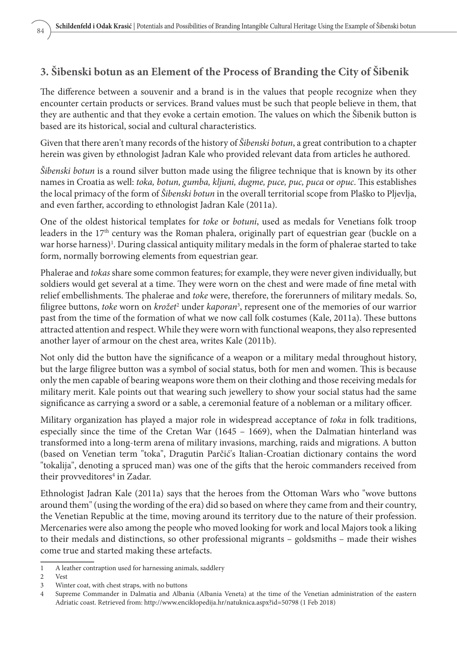## **3. Šibenski botun as an Element of the Process of Branding the City of Šibenik**

The difference between a souvenir and a brand is in the values that people recognize when they encounter certain products or services. Brand values must be such that people believe in them, that they are authentic and that they evoke a certain emotion. The values on which the Šibenik button is based are its historical, social and cultural characteristics.

Given that there aren't many records of the history of *Šibenski botun*, a great contribution to a chapter herein was given by ethnologist Jadran Kale who provided relevant data from articles he authored.

*Šibenski botun* is a round silver button made using the filigree technique that is known by its other names in Croatia as well: *toka, botun, gumba, kljuni, dugme, puce, puc, puca* or *opuc*. This establishes the local primacy of the form of *Šibenski botun* in the overall territorial scope from Plaško to Pljevlja, and even farther, according to ethnologist Jadran Kale (2011a).

One of the oldest historical templates for *toke* or *botuni*, used as medals for Venetians folk troop leaders in the  $17<sup>th</sup>$  century was the Roman phalera, originally part of equestrian gear (buckle on a war horse harness)<sup>1</sup>. During classical antiquity military medals in the form of phalerae started to take form, normally borrowing elements from equestrian gear.

Phalerae and *tokas* share some common features; for example, they were never given individually, but soldiers would get several at a time. They were worn on the chest and were made of fine metal with relief embellishments. The phalerae and *toke* were, therefore, the forerunners of military medals. So, filigree buttons, *toke* worn on *krožet<sup>2</sup>* under *kaporan*<sup>3</sup>, represent one of the memories of our warrior past from the time of the formation of what we now call folk costumes (Kale, 2011a). These buttons attracted attention and respect. While they were worn with functional weapons, they also represented another layer of armour on the chest area, writes Kale (2011b).

Not only did the button have the significance of a weapon or a military medal throughout history, but the large filigree button was a symbol of social status, both for men and women. This is because only the men capable of bearing weapons wore them on their clothing and those receiving medals for military merit. Kale points out that wearing such jewellery to show your social status had the same significance as carrying a sword or a sable, a ceremonial feature of a nobleman or a military officer.

Military organization has played a major role in widespread acceptance of *toka* in folk traditions, especially since the time of the Cretan War (1645 – 1669), when the Dalmatian hinterland was transformed into a long-term arena of military invasions, marching, raids and migrations. A button (based on Venetian term "toka", Dragutin Parčić's Italian-Croatian dictionary contains the word "tokalija", denoting a spruced man) was one of the gifts that the heroic commanders received from their provveditores<sup>4</sup> in Zadar.

Ethnologist Jadran Kale (2011a) says that the heroes from the Ottoman Wars who "wove buttons around them" (using the wording of the era) did so based on where they came from and their country, the Venetian Republic at the time, moving around its territory due to the nature of their profession. Mercenaries were also among the people who moved looking for work and local Majors took a liking to their medals and distinctions, so other professional migrants – goldsmiths – made their wishes come true and started making these artefacts.

<sup>1</sup> A leather contraption used for harnessing animals, saddlery

<sup>2</sup> Vest

<sup>3</sup> Winter coat, with chest straps, with no buttons

<sup>4</sup> Supreme Commander in Dalmatia and Albania (Albania Veneta) at the time of the Venetian administration of the eastern Adriatic coast. Retrieved from: http://www.enciklopedija.hr/natuknica.aspx?id=50798 (1 Feb 2018)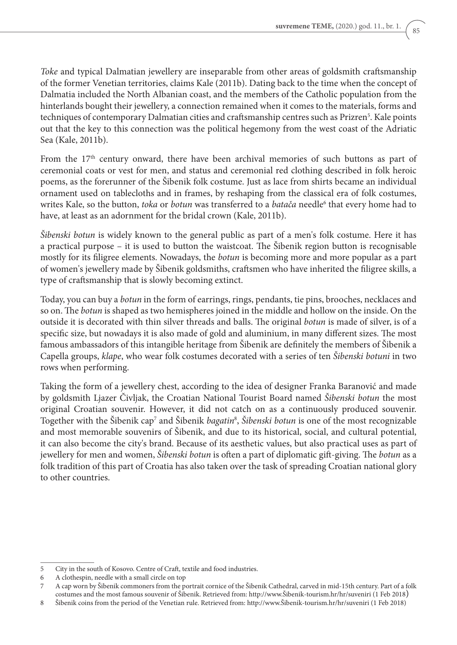*Toke* and typical Dalmatian jewellery are inseparable from other areas of goldsmith craftsmanship of the former Venetian territories, claims Kale (2011b). Dating back to the time when the concept of Dalmatia included the North Albanian coast, and the members of the Catholic population from the hinterlands bought their jewellery, a connection remained when it comes to the materials, forms and techniques of contemporary Dalmatian cities and craftsmanship centres such as Prizren<sup>5</sup>. Kale points out that the key to this connection was the political hegemony from the west coast of the Adriatic Sea (Kale, 2011b).

From the 17<sup>th</sup> century onward, there have been archival memories of such buttons as part of ceremonial coats or vest for men, and status and ceremonial red clothing described in folk heroic poems, as the forerunner of the Šibenik folk costume. Just as lace from shirts became an individual ornament used on tablecloths and in frames, by reshaping from the classical era of folk costumes, writes Kale, so the button, *toka* or *botun* was transferred to a *batača* needle<sup>6</sup> that every home had to have, at least as an adornment for the bridal crown (Kale, 2011b).

*Šibenski botun* is widely known to the general public as part of a men's folk costume. Here it has a practical purpose – it is used to button the waistcoat. The Šibenik region button is recognisable mostly for its filigree elements. Nowadays, the *botun* is becoming more and more popular as a part of women's jewellery made by Šibenik goldsmiths, craftsmen who have inherited the filigree skills, a type of craftsmanship that is slowly becoming extinct.

Today, you can buy a *botun* in the form of earrings, rings, pendants, tie pins, brooches, necklaces and so on. The *botun* is shaped as two hemispheres joined in the middle and hollow on the inside. On the outside it is decorated with thin silver threads and balls. The original *botun* is made of silver, is of a specific size, but nowadays it is also made of gold and aluminium, in many different sizes. The most famous ambassadors of this intangible heritage from Šibenik are definitely the members of Šibenik a Capella groups, *klape*, who wear folk costumes decorated with a series of ten *Šibenski botuni* in two rows when performing.

Taking the form of a jewellery chest, according to the idea of designer Franka Baranović and made by goldsmith Ljazer Čivljak, the Croatian National Tourist Board named *Šibenski botun* the most original Croatian souvenir. However, it did not catch on as a continuously produced souvenir. Together with the Sibenik cap<sup>7</sup> and Sibenik *bagatin*<sup>8</sup>, *Sibenski botun* is one of the most recognizable and most memorable souvenirs of Šibenik, and due to its historical, social, and cultural potential, it can also become the city's brand. Because of its aesthetic values, but also practical uses as part of jewellery for men and women, *Šibenski botun* is often a part of diplomatic gift-giving. The *botun* as a folk tradition of this part of Croatia has also taken over the task of spreading Croatian national glory to other countries.

<sup>5</sup> City in the south of Kosovo. Centre of Craft, textile and food industries.

<sup>6</sup> A clothespin, needle with a small circle on top

<sup>7</sup> A cap worn by Šibenik commoners from the portrait cornice of the Šibenik Cathedral, carved in mid-15th century. Part of a folk costumes and the most famous souvenir of Šibenik. Retrieved from: http://www.Šibenik-tourism.hr/hr/suveniri (1 Feb 2018)

<sup>8</sup> Šibenik coins from the period of the Venetian rule. Retrieved from: http://www.Šibenik-tourism.hr/hr/suveniri (1 Feb 2018)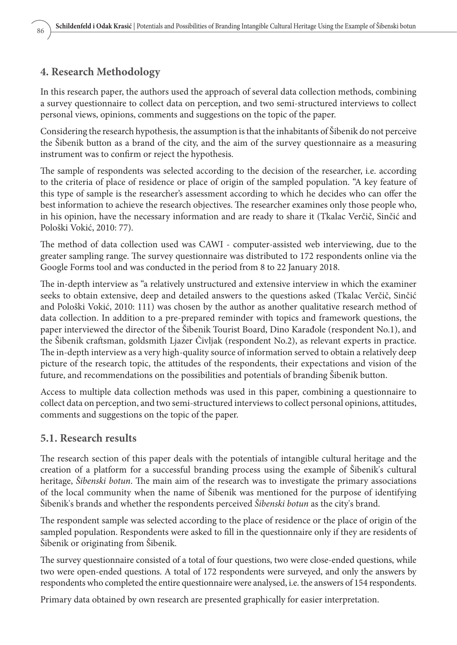### **4. Research Methodology**

In this research paper, the authors used the approach of several data collection methods, combining a survey questionnaire to collect data on perception, and two semi-structured interviews to collect personal views, opinions, comments and suggestions on the topic of the paper.

Considering the research hypothesis, the assumption is that the inhabitants of Šibenik do not perceive the Šibenik button as a brand of the city, and the aim of the survey questionnaire as a measuring instrument was to confirm or reject the hypothesis.

The sample of respondents was selected according to the decision of the researcher, i.e. according to the criteria of place of residence or place of origin of the sampled population. "A key feature of this type of sample is the researcher's assessment according to which he decides who can offer the best information to achieve the research objectives. The researcher examines only those people who, in his opinion, have the necessary information and are ready to share it (Tkalac Verčič, Sinčić and Pološki Vokić, 2010: 77).

The method of data collection used was CAWI - computer-assisted web interviewing, due to the greater sampling range. The survey questionnaire was distributed to 172 respondents online via the Google Forms tool and was conducted in the period from 8 to 22 January 2018.

The in-depth interview as "a relatively unstructured and extensive interview in which the examiner seeks to obtain extensive, deep and detailed answers to the questions asked (Tkalac Verčič, Sinčić and Pološki Vokić, 2010: 111) was chosen by the author as another qualitative research method of data collection. In addition to a pre-prepared reminder with topics and framework questions, the paper interviewed the director of the Šibenik Tourist Board, Dino Karađole (respondent No.1), and the Šibenik craftsman, goldsmith Ljazer Čivljak (respondent No.2), as relevant experts in practice. The in-depth interview as a very high-quality source of information served to obtain a relatively deep picture of the research topic, the attitudes of the respondents, their expectations and vision of the future, and recommendations on the possibilities and potentials of branding Šibenik button.

Access to multiple data collection methods was used in this paper, combining a questionnaire to collect data on perception, and two semi-structured interviews to collect personal opinions, attitudes, comments and suggestions on the topic of the paper.

### **5.1. Research results**

The research section of this paper deals with the potentials of intangible cultural heritage and the creation of a platform for a successful branding process using the example of Šibenik's cultural heritage, *Šibenski botun*. The main aim of the research was to investigate the primary associations of the local community when the name of Šibenik was mentioned for the purpose of identifying Šibenik's brands and whether the respondents perceived *Šibenski botun* as the city's brand.

The respondent sample was selected according to the place of residence or the place of origin of the sampled population. Respondents were asked to fill in the questionnaire only if they are residents of Šibenik or originating from Šibenik.

The survey questionnaire consisted of a total of four questions, two were close-ended questions, while two were open-ended questions. A total of 172 respondents were surveyed, and only the answers by respondents who completed the entire questionnaire were analysed, i.e. the answers of 154 respondents.

Primary data obtained by own research are presented graphically for easier interpretation.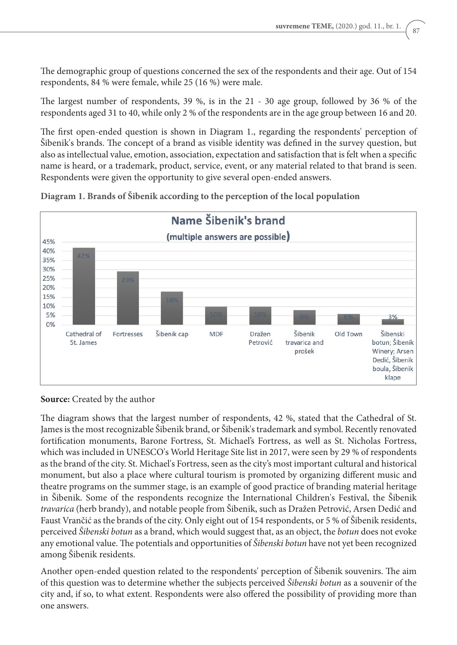The demographic group of questions concerned the sex of the respondents and their age. Out of 154 respondents, 84 % were female, while 25 (16 %) were male.

The largest number of respondents, 39 %, is in the 21 - 30 age group, followed by 36 % of the respondents aged 31 to 40, while only 2 % of the respondents are in the age group between 16 and 20.

The first open-ended question is shown in Diagram 1., regarding the respondents' perception of Šibenik's brands. The concept of a brand as visible identity was defined in the survey question, but also as intellectual value, emotion, association, expectation and satisfaction that is felt when a specific name is heard, or a trademark, product, service, event, or any material related to that brand is seen. Respondents were given the opportunity to give several open-ended answers.



**Diagram 1. Brands of Šibenik according to the perception of the local population**

#### **Source:** Created by the author

The diagram shows that the largest number of respondents, 42 %, stated that the Cathedral of St. James is the most recognizable Šibenik brand, or Šibenik's trademark and symbol. Recently renovated fortification monuments, Barone Fortress, St. Michael's Fortress, as well as St. Nicholas Fortress, which was included in UNESCO's World Heritage Site list in 2017, were seen by 29 % of respondents as the brand of the city. St. Michael's Fortress, seen as the city's most important cultural and historical monument, but also a place where cultural tourism is promoted by organizing different music and theatre programs on the summer stage, is an example of good practice of branding material heritage in Šibenik. Some of the respondents recognize the International Children's Festival, the Šibenik *travarica* (herb brandy), and notable people from Šibenik, such as Dražen Petrović, Arsen Dedić and Faust Vrančić as the brands of the city. Only eight out of 154 respondents, or 5 % of Šibenik residents, perceived *Šibenski botun* as a brand, which would suggest that, as an object, the *botun* does not evoke any emotional value. The potentials and opportunities of *Šibenski botun* have not yet been recognized among Šibenik residents.

Another open-ended question related to the respondents' perception of Šibenik souvenirs. The aim of this question was to determine whether the subjects perceived *Šibenski botun* as a souvenir of the city and, if so, to what extent. Respondents were also offered the possibility of providing more than one answers.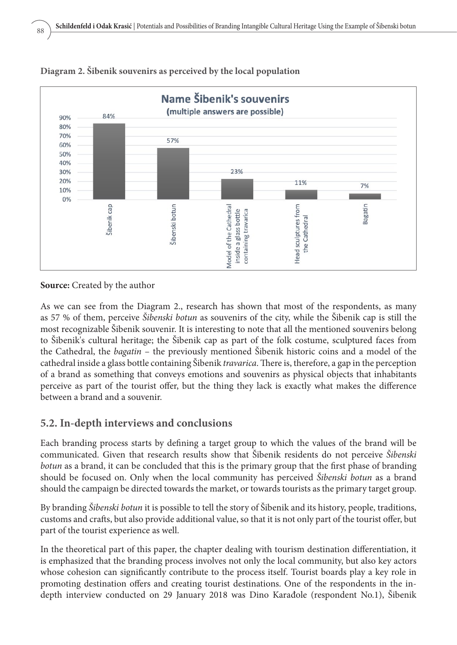

#### **Diagram 2. Šibenik souvenirs as perceived by the local population**

**Source:** Created by the author

As we can see from the Diagram 2., research has shown that most of the respondents, as many as 57 % of them, perceive *Šibenski botun* as souvenirs of the city, while the Šibenik cap is still the most recognizable Šibenik souvenir. It is interesting to note that all the mentioned souvenirs belong to Šibenik's cultural heritage; the Šibenik cap as part of the folk costume, sculptured faces from the Cathedral, the *bagatin* – the previously mentioned Šibenik historic coins and a model of the cathedral inside a glass bottle containing Šibenik *travarica*. There is, therefore, a gap in the perception of a brand as something that conveys emotions and souvenirs as physical objects that inhabitants perceive as part of the tourist offer, but the thing they lack is exactly what makes the difference between a brand and a souvenir.

## **5.2. In-depth interviews and conclusions**

Each branding process starts by defining a target group to which the values of the brand will be communicated. Given that research results show that Šibenik residents do not perceive *Šibenski botun* as a brand, it can be concluded that this is the primary group that the first phase of branding should be focused on. Only when the local community has perceived *Šibenski botun* as a brand should the campaign be directed towards the market, or towards tourists as the primary target group.

By branding *Šibenski botun* it is possible to tell the story of Šibenik and its history, people, traditions, customs and crafts, but also provide additional value, so that it is not only part of the tourist offer, but part of the tourist experience as well.

In the theoretical part of this paper, the chapter dealing with tourism destination differentiation, it is emphasized that the branding process involves not only the local community, but also key actors whose cohesion can significantly contribute to the process itself. Tourist boards play a key role in promoting destination offers and creating tourist destinations. One of the respondents in the indepth interview conducted on 29 January 2018 was Dino Karađole (respondent No.1), Šibenik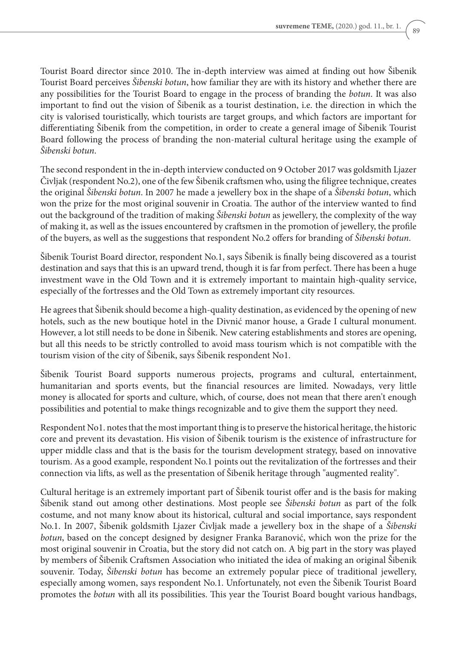Tourist Board director since 2010. The in-depth interview was aimed at finding out how Šibenik Tourist Board perceives *Šibenski botun*, how familiar they are with its history and whether there are any possibilities for the Tourist Board to engage in the process of branding the *botun*. It was also important to find out the vision of Šibenik as a tourist destination, i.e. the direction in which the city is valorised touristically, which tourists are target groups, and which factors are important for differentiating Šibenik from the competition, in order to create a general image of Šibenik Tourist Board following the process of branding the non-material cultural heritage using the example of *Šibenski botun*.

The second respondent in the in-depth interview conducted on 9 October 2017 was goldsmith Ljazer Čivljak (respondent No.2), one of the few Šibenik craftsmen who, using the filigree technique, creates the original *Šibenski botun*. In 2007 he made a jewellery box in the shape of a *Šibenski botun*, which won the prize for the most original souvenir in Croatia. The author of the interview wanted to find out the background of the tradition of making *Šibenski botun* as jewellery, the complexity of the way of making it, as well as the issues encountered by craftsmen in the promotion of jewellery, the profile of the buyers, as well as the suggestions that respondent No.2 offers for branding of *Šibenski botun*.

Šibenik Tourist Board director, respondent No.1, says Šibenik is finally being discovered as a tourist destination and says that this is an upward trend, though it is far from perfect. There has been a huge investment wave in the Old Town and it is extremely important to maintain high-quality service, especially of the fortresses and the Old Town as extremely important city resources.

He agrees that Šibenik should become a high-quality destination, as evidenced by the opening of new hotels, such as the new boutique hotel in the Divnić manor house, a Grade I cultural monument. However, a lot still needs to be done in Šibenik. New catering establishments and stores are opening, but all this needs to be strictly controlled to avoid mass tourism which is not compatible with the tourism vision of the city of Šibenik, says Šibenik respondent No1.

Šibenik Tourist Board supports numerous projects, programs and cultural, entertainment, humanitarian and sports events, but the financial resources are limited. Nowadays, very little money is allocated for sports and culture, which, of course, does not mean that there aren't enough possibilities and potential to make things recognizable and to give them the support they need.

Respondent No1. notes that the most important thing is to preserve the historical heritage, the historic core and prevent its devastation. His vision of Šibenik tourism is the existence of infrastructure for upper middle class and that is the basis for the tourism development strategy, based on innovative tourism. As a good example, respondent No.1 points out the revitalization of the fortresses and their connection via lifts, as well as the presentation of Šibenik heritage through "augmented reality".

Cultural heritage is an extremely important part of Šibenik tourist offer and is the basis for making Šibenik stand out among other destinations. Most people see *Šibenski botun* as part of the folk costume, and not many know about its historical, cultural and social importance, says respondent No.1. In 2007, Šibenik goldsmith Ljazer Čivljak made a jewellery box in the shape of a *Šibenski botun*, based on the concept designed by designer Franka Baranović, which won the prize for the most original souvenir in Croatia, but the story did not catch on. A big part in the story was played by members of Šibenik Craftsmen Association who initiated the idea of making an original Šibenik souvenir. Today, *Šibenski botun* has become an extremely popular piece of traditional jewellery, especially among women, says respondent No.1. Unfortunately, not even the Šibenik Tourist Board promotes the *botun* with all its possibilities. This year the Tourist Board bought various handbags,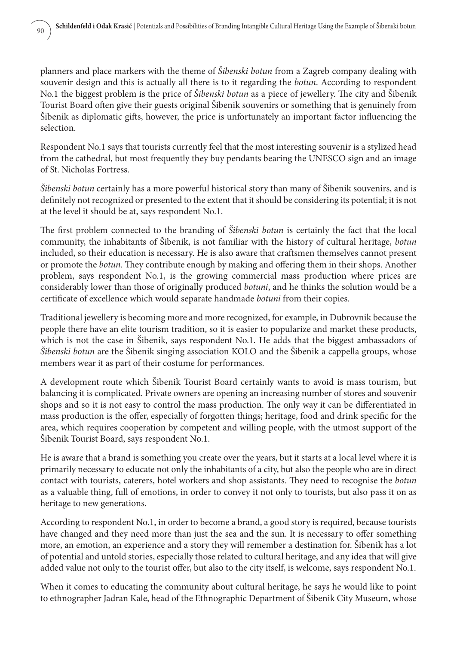planners and place markers with the theme of *Šibenski botun* from a Zagreb company dealing with souvenir design and this is actually all there is to it regarding the *botun*. According to respondent No.1 the biggest problem is the price of *Šibenski botun* as a piece of jewellery. The city and Šibenik Tourist Board often give their guests original Šibenik souvenirs or something that is genuinely from Šibenik as diplomatic gifts, however, the price is unfortunately an important factor influencing the selection.

Respondent No.1 says that tourists currently feel that the most interesting souvenir is a stylized head from the cathedral, but most frequently they buy pendants bearing the UNESCO sign and an image of St. Nicholas Fortress.

*Šibenski botun* certainly has a more powerful historical story than many of Šibenik souvenirs, and is definitely not recognized or presented to the extent that it should be considering its potential; it is not at the level it should be at, says respondent No.1.

The first problem connected to the branding of *Šibenski botun* is certainly the fact that the local community, the inhabitants of Šibenik, is not familiar with the history of cultural heritage, *botun* included, so their education is necessary. He is also aware that craftsmen themselves cannot present or promote the *botun*. They contribute enough by making and offering them in their shops. Another problem, says respondent No.1, is the growing commercial mass production where prices are considerably lower than those of originally produced *botuni*, and he thinks the solution would be a certificate of excellence which would separate handmade *botuni* from their copies.

Traditional jewellery is becoming more and more recognized, for example, in Dubrovnik because the people there have an elite tourism tradition, so it is easier to popularize and market these products, which is not the case in Šibenik, says respondent No.1. He adds that the biggest ambassadors of *Šibenski botun* are the Šibenik singing association KOLO and the Šibenik a cappella groups, whose members wear it as part of their costume for performances.

A development route which Šibenik Tourist Board certainly wants to avoid is mass tourism, but balancing it is complicated. Private owners are opening an increasing number of stores and souvenir shops and so it is not easy to control the mass production. The only way it can be differentiated in mass production is the offer, especially of forgotten things; heritage, food and drink specific for the area, which requires cooperation by competent and willing people, with the utmost support of the Šibenik Tourist Board, says respondent No.1.

He is aware that a brand is something you create over the years, but it starts at a local level where it is primarily necessary to educate not only the inhabitants of a city, but also the people who are in direct contact with tourists, caterers, hotel workers and shop assistants. They need to recognise the *botun* as a valuable thing, full of emotions, in order to convey it not only to tourists, but also pass it on as heritage to new generations.

According to respondent No.1, in order to become a brand, a good story is required, because tourists have changed and they need more than just the sea and the sun. It is necessary to offer something more, an emotion, an experience and a story they will remember a destination for. Šibenik has a lot of potential and untold stories, especially those related to cultural heritage, and any idea that will give added value not only to the tourist offer, but also to the city itself, is welcome, says respondent No.1.

When it comes to educating the community about cultural heritage, he says he would like to point to ethnographer Jadran Kale, head of the Ethnographic Department of Šibenik City Museum, whose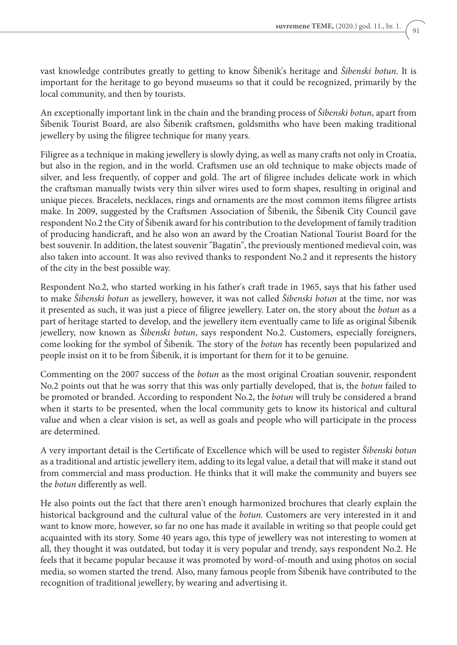vast knowledge contributes greatly to getting to know Šibenik's heritage and *Šibenski botun*. It is important for the heritage to go beyond museums so that it could be recognized, primarily by the local community, and then by tourists.

An exceptionally important link in the chain and the branding process of *Šibenski botun*, apart from Šibenik Tourist Board, are also Šibenik craftsmen, goldsmiths who have been making traditional jewellery by using the filigree technique for many years.

Filigree as a technique in making jewellery is slowly dying, as well as many crafts not only in Croatia, but also in the region, and in the world. Craftsmen use an old technique to make objects made of silver, and less frequently, of copper and gold. The art of filigree includes delicate work in which the craftsman manually twists very thin silver wires used to form shapes, resulting in original and unique pieces. Bracelets, necklaces, rings and ornaments are the most common items filigree artists make. In 2009, suggested by the Craftsmen Association of Šibenik, the Šibenik City Council gave respondent No.2 the City of Šibenik award for his contribution to the development of family tradition of producing handicraft, and he also won an award by the Croatian National Tourist Board for the best souvenir. In addition, the latest souvenir "Bagatin", the previously mentioned medieval coin, was also taken into account. It was also revived thanks to respondent No.2 and it represents the history of the city in the best possible way.

Respondent No.2, who started working in his father's craft trade in 1965, says that his father used to make *Šibenski botun* as jewellery, however, it was not called *Šibenski botun* at the time, nor was it presented as such, it was just a piece of filigree jewellery. Later on, the story about the *botun* as a part of heritage started to develop, and the jewellery item eventually came to life as original Šibenik jewellery, now known as *Šibenski botun*, says respondent No.2. Customers, especially foreigners, come looking for the symbol of Šibenik. The story of the *botun* has recently been popularized and people insist on it to be from Šibenik, it is important for them for it to be genuine.

Commenting on the 2007 success of the *botun* as the most original Croatian souvenir, respondent No.2 points out that he was sorry that this was only partially developed, that is, the *botun* failed to be promoted or branded. According to respondent No.2, the *botun* will truly be considered a brand when it starts to be presented, when the local community gets to know its historical and cultural value and when a clear vision is set, as well as goals and people who will participate in the process are determined.

A very important detail is the Certificate of Excellence which will be used to register *Šibenski botun* as a traditional and artistic jewellery item, adding to its legal value, a detail that will make it stand out from commercial and mass production. He thinks that it will make the community and buyers see the *botun* differently as well.

He also points out the fact that there aren't enough harmonized brochures that clearly explain the historical background and the cultural value of the *botun.* Customers are very interested in it and want to know more, however, so far no one has made it available in writing so that people could get acquainted with its story. Some 40 years ago, this type of jewellery was not interesting to women at all, they thought it was outdated, but today it is very popular and trendy, says respondent No.2. He feels that it became popular because it was promoted by word-of-mouth and using photos on social media, so women started the trend. Also, many famous people from Šibenik have contributed to the recognition of traditional jewellery, by wearing and advertising it.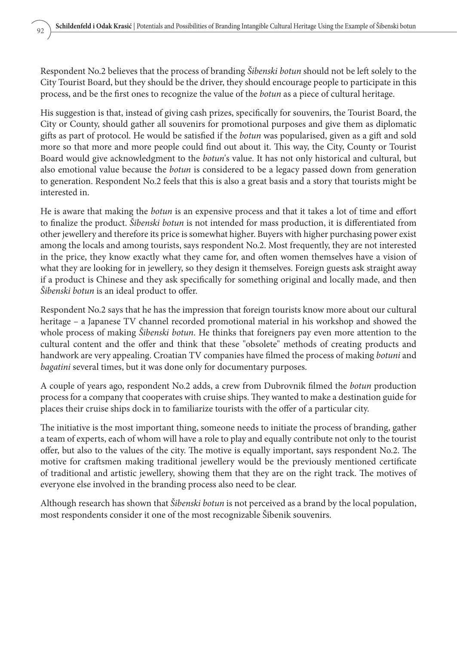Respondent No.2 believes that the process of branding *Šibenski botun* should not be left solely to the City Tourist Board, but they should be the driver, they should encourage people to participate in this process, and be the first ones to recognize the value of the *botun* as a piece of cultural heritage.

His suggestion is that, instead of giving cash prizes, specifically for souvenirs, the Tourist Board, the City or County, should gather all souvenirs for promotional purposes and give them as diplomatic gifts as part of protocol. He would be satisfied if the *botun* was popularised, given as a gift and sold more so that more and more people could find out about it. This way, the City, County or Tourist Board would give acknowledgment to the *botun*'s value. It has not only historical and cultural, but also emotional value because the *botun* is considered to be a legacy passed down from generation to generation. Respondent No.2 feels that this is also a great basis and a story that tourists might be interested in.

He is aware that making the *botun* is an expensive process and that it takes a lot of time and effort to finalize the product. *Šibenski botun* is not intended for mass production, it is differentiated from other jewellery and therefore its price is somewhat higher. Buyers with higher purchasing power exist among the locals and among tourists, says respondent No.2. Most frequently, they are not interested in the price, they know exactly what they came for, and often women themselves have a vision of what they are looking for in jewellery, so they design it themselves. Foreign guests ask straight away if a product is Chinese and they ask specifically for something original and locally made, and then *Šibenski botun* is an ideal product to offer.

Respondent No.2 says that he has the impression that foreign tourists know more about our cultural heritage – a Japanese TV channel recorded promotional material in his workshop and showed the whole process of making *Šibenski botun*. He thinks that foreigners pay even more attention to the cultural content and the offer and think that these "obsolete" methods of creating products and handwork are very appealing. Croatian TV companies have filmed the process of making *botuni* and *bagatini* several times, but it was done only for documentary purposes.

A couple of years ago, respondent No.2 adds, a crew from Dubrovnik filmed the *botun* production process for a company that cooperates with cruise ships. They wanted to make a destination guide for places their cruise ships dock in to familiarize tourists with the offer of a particular city.

The initiative is the most important thing, someone needs to initiate the process of branding, gather a team of experts, each of whom will have a role to play and equally contribute not only to the tourist offer, but also to the values of the city. The motive is equally important, says respondent No.2. The motive for craftsmen making traditional jewellery would be the previously mentioned certificate of traditional and artistic jewellery, showing them that they are on the right track. The motives of everyone else involved in the branding process also need to be clear.

Although research has shown that *Šibenski botun* is not perceived as a brand by the local population, most respondents consider it one of the most recognizable Šibenik souvenirs.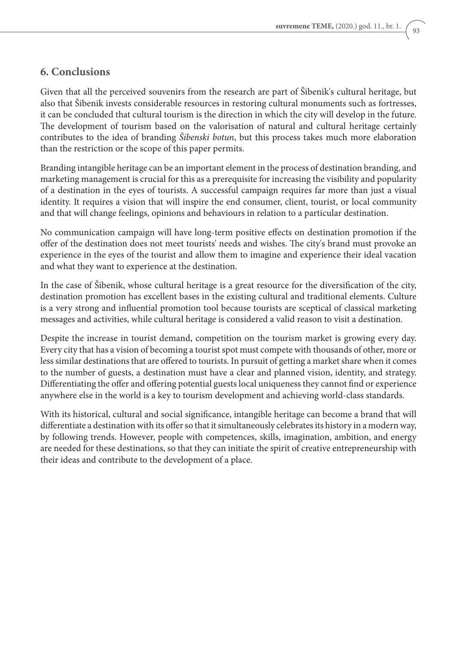#### **6. Conclusions**

Given that all the perceived souvenirs from the research are part of Šibenik's cultural heritage, but also that Šibenik invests considerable resources in restoring cultural monuments such as fortresses, it can be concluded that cultural tourism is the direction in which the city will develop in the future. The development of tourism based on the valorisation of natural and cultural heritage certainly contributes to the idea of branding *Šibenski botun*, but this process takes much more elaboration than the restriction or the scope of this paper permits.

Branding intangible heritage can be an important element in the process of destination branding, and marketing management is crucial for this as a prerequisite for increasing the visibility and popularity of a destination in the eyes of tourists. A successful campaign requires far more than just a visual identity. It requires a vision that will inspire the end consumer, client, tourist, or local community and that will change feelings, opinions and behaviours in relation to a particular destination.

No communication campaign will have long-term positive effects on destination promotion if the offer of the destination does not meet tourists' needs and wishes. The city's brand must provoke an experience in the eyes of the tourist and allow them to imagine and experience their ideal vacation and what they want to experience at the destination.

In the case of Šibenik, whose cultural heritage is a great resource for the diversification of the city, destination promotion has excellent bases in the existing cultural and traditional elements. Culture is a very strong and influential promotion tool because tourists are sceptical of classical marketing messages and activities, while cultural heritage is considered a valid reason to visit a destination.

Despite the increase in tourist demand, competition on the tourism market is growing every day. Every city that has a vision of becoming a tourist spot must compete with thousands of other, more or less similar destinations that are offered to tourists. In pursuit of getting a market share when it comes to the number of guests, a destination must have a clear and planned vision, identity, and strategy. Differentiating the offer and offering potential guests local uniqueness they cannot find or experience anywhere else in the world is a key to tourism development and achieving world-class standards.

With its historical, cultural and social significance, intangible heritage can become a brand that will differentiate a destination with its offer so that it simultaneously celebrates its history in a modern way, by following trends. However, people with competences, skills, imagination, ambition, and energy are needed for these destinations, so that they can initiate the spirit of creative entrepreneurship with their ideas and contribute to the development of a place.